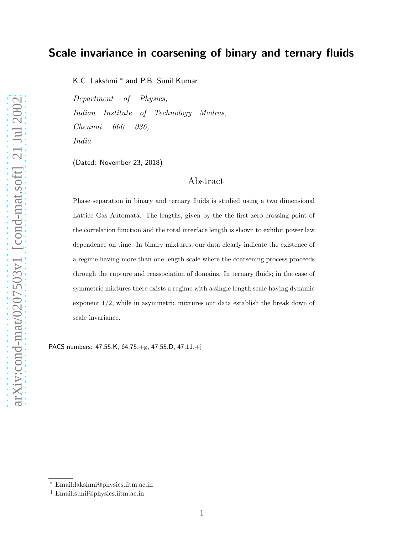# Scale invariance in coarsening of binary and ternary fluids

K.C. Lakshmi <sup>∗</sup> and P.B. Sunil Kumar†

Department of Physics, Indian Institute of Technology Madras, Chennai 600 036, India

(Dated: November 23, 2018)

# Abstract

Phase separation in binary and ternary fluids is studied using a two dimensional Lattice Gas Automata. The lengths, given by the the first zero crossing point of the correlation function and the total interface length is shown to exhibit power law dependence on time. In binary mixtures, our data clearly indicate the existence of a regime having more than one length scale where the coarsening process proceeds through the rupture and reassociation of domains. In ternary fluids; in the case of symmetric mixtures there exists a regime with a single length scale having dynamic exponent 1/2, while in asymmetric mixtures our data establish the break down of scale invariance.

PACS numbers: 47.55.K, 64.75.+g, 47.55.D, 47.11.+j

<sup>∗</sup> Email:lakshmi@physics.iitm.ac.in

<sup>†</sup> Email:sunil@physics.iitm.ac.in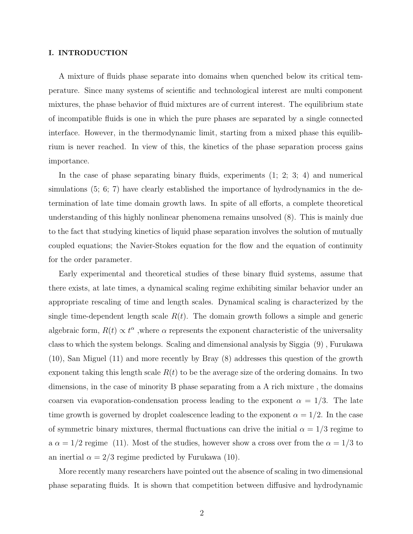# I. INTRODUCTION

A mixture of fluids phase separate into domains when quenched below its critical temperature. Since many systems of scientific and technological interest are multi component mixtures, the phase behavior of fluid mixtures are of current interest. The equilibrium state of incompatible fluids is one in which the pure phases are separated by a single connected interface. However, in the thermodynamic limit, starting from a mixed phase this equilibrium is never reached. In view of this, the kinetics of the phase separation process gains importance.

In the case of phase separating binary fluids, experiments (1; 2; 3; 4) and numerical simulations (5; 6; 7) have clearly established the importance of hydrodynamics in the determination of late time domain growth laws. In spite of all efforts, a complete theoretical understanding of this highly nonlinear phenomena remains unsolved (8). This is mainly due to the fact that studying kinetics of liquid phase separation involves the solution of mutually coupled equations; the Navier-Stokes equation for the flow and the equation of continuity for the order parameter.

Early experimental and theoretical studies of these binary fluid systems, assume that there exists, at late times, a dynamical scaling regime exhibiting similar behavior under an appropriate rescaling of time and length scales. Dynamical scaling is characterized by the single time-dependent length scale  $R(t)$ . The domain growth follows a simple and generic algebraic form,  $R(t) \propto t^{\alpha}$ , where  $\alpha$  represents the exponent characteristic of the universality class to which the system belongs. Scaling and dimensional analysis by Siggia (9) , Furukawa (10), San Miguel (11) and more recently by Bray (8) addresses this question of the growth exponent taking this length scale  $R(t)$  to be the average size of the ordering domains. In two dimensions, in the case of minority B phase separating from a A rich mixture , the domains coarsen via evaporation-condensation process leading to the exponent  $\alpha = 1/3$ . The late time growth is governed by droplet coalescence leading to the exponent  $\alpha = 1/2$ . In the case of symmetric binary mixtures, thermal fluctuations can drive the initial  $\alpha = 1/3$  regime to a  $\alpha = 1/2$  regime (11). Most of the studies, however show a cross over from the  $\alpha = 1/3$  to an inertial  $\alpha = 2/3$  regime predicted by Furukawa (10).

More recently many researchers have pointed out the absence of scaling in two dimensional phase separating fluids. It is shown that competition between diffusive and hydrodynamic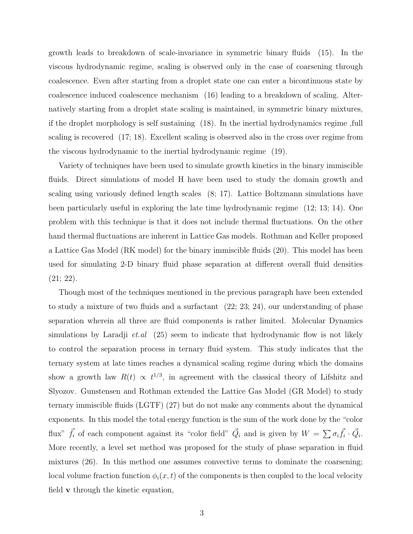growth leads to breakdown of scale-invariance in symmetric binary fluids (15). In the viscous hydrodynamic regime, scaling is observed only in the case of coarsening through coalescence. Even after starting from a droplet state one can enter a bicontinuous state by coalescence induced coalescence mechanism (16) leading to a breakdown of scaling. Alternatively starting from a droplet state scaling is maintained, in symmetric binary mixtures, if the droplet morphology is self sustaining (18). In the inertial hydrodynamics regime ,full scaling is recovered (17; 18). Excellent scaling is observed also in the cross over regime from the viscous hydrodynamic to the inertial hydrodynamic regime (19).

Variety of techniques have been used to simulate growth kinetics in the binary immiscible fluids. Direct simulations of model H have been used to study the domain growth and scaling using variously defined length scales (8; 17). Lattice Boltzmann simulations have been particularly useful in exploring the late time hydrodynamic regime (12; 13; 14). One problem with this technique is that it does not include thermal fluctuations. On the other hand thermal fluctuations are inherent in Lattice Gas models. Rothman and Keller proposed a Lattice Gas Model (RK model) for the binary immiscible fluids (20). This model has been used for simulating 2-D binary fluid phase separation at different overall fluid densities (21; 22).

Though most of the techniques mentioned in the previous paragraph have been extended to study a mixture of two fluids and a surfactant (22; 23; 24), our understanding of phase separation wherein all three are fluid components is rather limited. Molecular Dynamics simulations by Laradji *et.al*  $(25)$  seem to indicate that hydrodynamic flow is not likely to control the separation process in ternary fluid system. This study indicates that the ternary system at late times reaches a dynamical scaling regime during which the domains show a growth law  $R(t) \propto t^{1/3}$ , in agreement with the classical theory of Lifshitz and Slyozov. Gunstensen and Rothman extended the Lattice Gas Model (GR Model) to study ternary immiscible fluids (LGTF) (27) but do not make any comments about the dynamical exponents. In this model the total energy function is the sum of the work done by the "color flux"  $\vec{f}_i$  of each component against its "color field"  $\vec{Q}_i$  and is given by  $W = \sum \sigma_i \vec{f}_i \cdot \vec{Q}_i$ . More recently, a level set method was proposed for the study of phase separation in fluid mixtures (26). In this method one assumes convective terms to dominate the coarsening; local volume fraction function  $\phi_i(x, t)$  of the components is then coupled to the local velocity field v through the kinetic equation,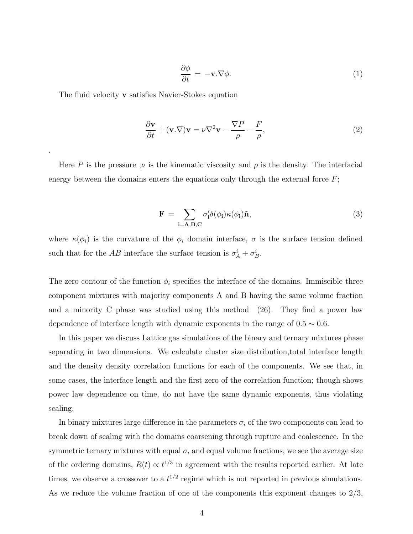$$
\frac{\partial \phi}{\partial t} = -\mathbf{v}.\nabla \phi.
$$
 (1)

The fluid velocity **v** satisfies Navier-Stokes equation

.

$$
\frac{\partial \mathbf{v}}{\partial t} + (\mathbf{v}.\nabla)\mathbf{v} = \nu \nabla^2 \mathbf{v} - \frac{\nabla P}{\rho} - \frac{F}{\rho},\tag{2}
$$

Here P is the pressure  $\nu$  is the kinematic viscosity and  $\rho$  is the density. The interfacial energy between the domains enters the equations only through the external force  $F$ ;

$$
\mathbf{F} = \sum_{\mathbf{i} = \mathbf{A}, \mathbf{B}, \mathbf{C}} \sigma_{\mathbf{i}}' \delta(\phi_{\mathbf{i}}) \kappa(\phi_{\mathbf{i}}) \hat{\mathbf{n}},\tag{3}
$$

where  $\kappa(\phi_i)$  is the curvature of the  $\phi_i$  domain interface,  $\sigma$  is the surface tension defined such that for the AB interface the surface tension is  $\sigma_A^i + \sigma_B^i$ .

The zero contour of the function  $\phi_i$  specifies the interface of the domains. Immiscible three component mixtures with majority components A and B having the same volume fraction and a minority C phase was studied using this method (26). They find a power law dependence of interface length with dynamic exponents in the range of  $0.5 \sim 0.6$ .

In this paper we discuss Lattice gas simulations of the binary and ternary mixtures phase separating in two dimensions. We calculate cluster size distribution,total interface length and the density density correlation functions for each of the components. We see that, in some cases, the interface length and the first zero of the correlation function; though shows power law dependence on time, do not have the same dynamic exponents, thus violating scaling.

In binary mixtures large difference in the parameters  $\sigma_i$  of the two components can lead to break down of scaling with the domains coarsening through rupture and coalescence. In the symmetric ternary mixtures with equal  $\sigma_i$  and equal volume fractions, we see the average size of the ordering domains,  $R(t) \propto t^{1/3}$  in agreement with the results reported earlier. At late times, we observe a crossover to a  $t^{1/2}$  regime which is not reported in previous simulations. As we reduce the volume fraction of one of the components this exponent changes to  $2/3$ ,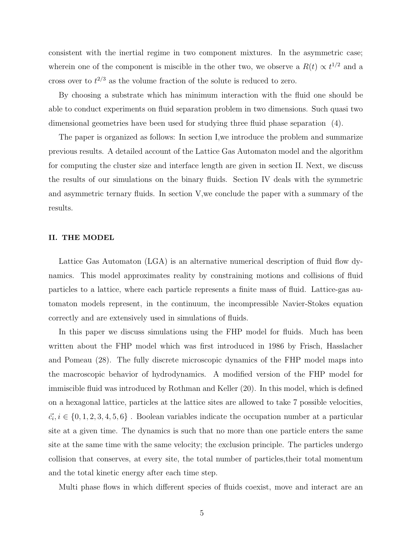consistent with the inertial regime in two component mixtures. In the asymmetric case; wherein one of the component is miscible in the other two, we observe a  $R(t) \propto t^{1/2}$  and a cross over to  $t^{2/3}$  as the volume fraction of the solute is reduced to zero.

By choosing a substrate which has minimum interaction with the fluid one should be able to conduct experiments on fluid separation problem in two dimensions. Such quasi two dimensional geometries have been used for studying three fluid phase separation (4).

The paper is organized as follows: In section I,we introduce the problem and summarize previous results. A detailed account of the Lattice Gas Automaton model and the algorithm for computing the cluster size and interface length are given in section II. Next, we discuss the results of our simulations on the binary fluids. Section IV deals with the symmetric and asymmetric ternary fluids. In section V,we conclude the paper with a summary of the results.

# II. THE MODEL

Lattice Gas Automaton (LGA) is an alternative numerical description of fluid flow dynamics. This model approximates reality by constraining motions and collisions of fluid particles to a lattice, where each particle represents a finite mass of fluid. Lattice-gas automaton models represent, in the continuum, the incompressible Navier-Stokes equation correctly and are extensively used in simulations of fluids.

In this paper we discuss simulations using the FHP model for fluids. Much has been written about the FHP model which was first introduced in 1986 by Frisch, Hasslacher and Pomeau (28). The fully discrete microscopic dynamics of the FHP model maps into the macroscopic behavior of hydrodynamics. A modified version of the FHP model for immiscible fluid was introduced by Rothman and Keller (20). In this model, which is defined on a hexagonal lattice, particles at the lattice sites are allowed to take 7 possible velocities,  $\vec{c}_i, i \in \{0, 1, 2, 3, 4, 5, 6\}$ . Boolean variables indicate the occupation number at a particular site at a given time. The dynamics is such that no more than one particle enters the same site at the same time with the same velocity; the exclusion principle. The particles undergo collision that conserves, at every site, the total number of particles,their total momentum and the total kinetic energy after each time step.

Multi phase flows in which different species of fluids coexist, move and interact are an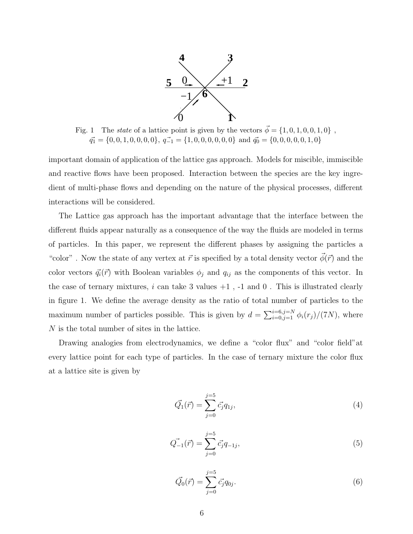

Fig. 1 The state of a lattice point is given by the vectors  $\vec{\phi} = \{1, 0, 1, 0, 0, 1, 0\}$ ,  $\vec{q_1} = \{0, 0, 1, 0, 0, 0, 0\}, \ \vec{q_{-1}} = \{1, 0, 0, 0, 0, 0\} \text{ and } \vec{q_0} = \{0, 0, 0, 0, 0, 1, 0\}$ 

important domain of application of the lattice gas approach. Models for miscible, immiscible and reactive flows have been proposed. Interaction between the species are the key ingredient of multi-phase flows and depending on the nature of the physical processes, different interactions will be considered.

The Lattice gas approach has the important advantage that the interface between the different fluids appear naturally as a consequence of the way the fluids are modeled in terms of particles. In this paper, we represent the different phases by assigning the particles a "color". Now the state of any vertex at  $\vec{r}$  is specified by a total density vector  $\phi(\vec{r})$  and the color vectors  $\vec{q}_i(\vec{r})$  with Boolean variables  $\phi_j$  and  $q_{ij}$  as the components of this vector. In the case of ternary mixtures,  $i$  can take 3 values  $+1$ ,  $-1$  and  $0$ . This is illustrated clearly in figure 1. We define the average density as the ratio of total number of particles to the maximum number of particles possible. This is given by  $d = \sum_{i=0,j=1}^{i=6, j=N} \phi_i(r_j)/(7N)$ , where N is the total number of sites in the lattice.

Drawing analogies from electrodynamics, we define a "color flux" and "color field" at every lattice point for each type of particles. In the case of ternary mixture the color flux at a lattice site is given by

$$
\vec{Q_1}(\vec{r}) = \sum_{j=0}^{j=5} \vec{c_j} q_{1j},\tag{4}
$$

$$
\vec{Q}_{-1}(\vec{r}) = \sum_{j=0}^{j=5} \vec{c}_j q_{-1j},\tag{5}
$$

$$
\vec{Q_0}(\vec{r}) = \sum_{j=0}^{j=5} \vec{c_j} q_{0j}.
$$
\n(6)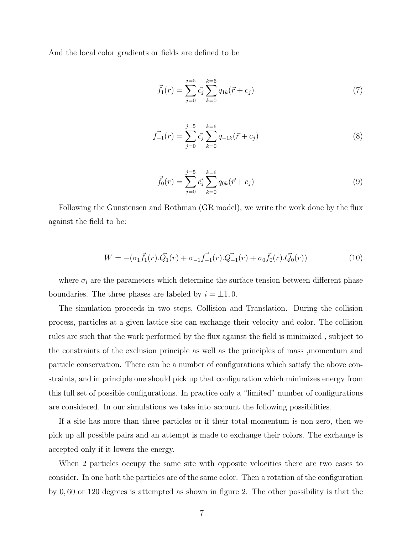And the local color gradients or fields are defined to be

$$
\vec{f}_1(r) = \sum_{j=0}^{j=5} \vec{c}_j \sum_{k=0}^{k=6} q_{1k}(\vec{r} + c_j)
$$
\n(7)

$$
\vec{f}_{-1}(r) = \sum_{j=0}^{j=5} \vec{c}_j \sum_{k=0}^{k=6} q_{-1k}(\vec{r} + c_j)
$$
\n(8)

$$
\vec{f}_0(r) = \sum_{j=0}^{j=5} \vec{c}_j \sum_{k=0}^{k=6} q_{0k}(\vec{r} + c_j)
$$
\n(9)

Following the Gunstensen and Rothman (GR model), we write the work done by the flux against the field to be:

$$
W = -(\sigma_1 \vec{f}_1(r).\vec{Q}_1(r) + \sigma_{-1} \vec{f}_{-1}(r).\vec{Q}_{-1}(r) + \sigma_0 \vec{f}_0(r).\vec{Q}_0(r))
$$
\n(10)

where  $\sigma_i$  are the parameters which determine the surface tension between different phase boundaries. The three phases are labeled by  $i = \pm 1, 0$ .

The simulation proceeds in two steps, Collision and Translation. During the collision process, particles at a given lattice site can exchange their velocity and color. The collision rules are such that the work performed by the flux against the field is minimized , subject to the constraints of the exclusion principle as well as the principles of mass ,momentum and particle conservation. There can be a number of configurations which satisfy the above constraints, and in principle one should pick up that configuration which minimizes energy from this full set of possible configurations. In practice only a "limited" number of configurations are considered. In our simulations we take into account the following possibilities.

If a site has more than three particles or if their total momentum is non zero, then we pick up all possible pairs and an attempt is made to exchange their colors. The exchange is accepted only if it lowers the energy.

When 2 particles occupy the same site with opposite velocities there are two cases to consider. In one both the particles are of the same color. Then a rotation of the configuration by 0, 60 or 120 degrees is attempted as shown in figure 2. The other possibility is that the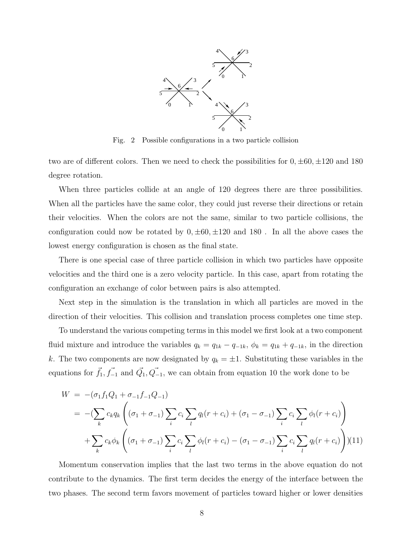

Fig. 2 Possible configurations in a two particle collision

two are of different colors. Then we need to check the possibilities for  $0, \pm 60, \pm 120$  and 180 degree rotation.

When three particles collide at an angle of 120 degrees there are three possibilities. When all the particles have the same color, they could just reverse their directions or retain their velocities. When the colors are not the same, similar to two particle collisions, the configuration could now be rotated by  $0, \pm 60, \pm 120$  and 180. In all the above cases the lowest energy configuration is chosen as the final state.

There is one special case of three particle collision in which two particles have opposite velocities and the third one is a zero velocity particle. In this case, apart from rotating the configuration an exchange of color between pairs is also attempted.

Next step in the simulation is the translation in which all particles are moved in the direction of their velocities. This collision and translation process completes one time step.

To understand the various competing terms in this model we first look at a two component fluid mixture and introduce the variables  $q_k = q_{1k} - q_{-1k}$ ,  $\phi_k = q_{1k} + q_{-1k}$ , in the direction k. The two components are now designated by  $q_k = \pm 1$ . Substituting these variables in the equations for  $\vec{f}_1, \vec{f}_{-1}$  and  $\vec{Q}_1, \vec{Q}_{-1}$ , we can obtain from equation 10 the work done to be

$$
W = -(\sigma_1 f_1 Q_1 + \sigma_{-1} f_{-1} Q_{-1})
$$
  
= 
$$
-(\sum_k c_k q_k \left( (\sigma_1 + \sigma_{-1}) \sum_i c_i \sum_l q_l (r + c_i) + (\sigma_1 - \sigma_{-1}) \sum_i c_i \sum_l \phi_l (r + c_i) \right)
$$
  
+ 
$$
\sum_k c_k \phi_k \left( (\sigma_1 + \sigma_{-1}) \sum_i c_i \sum_l \phi_l (r + c_i) - (\sigma_1 - \sigma_{-1}) \sum_i c_i \sum_l q_l (r + c_i) \right) (11)
$$

Momentum conservation implies that the last two terms in the above equation do not contribute to the dynamics. The first term decides the energy of the interface between the two phases. The second term favors movement of particles toward higher or lower densities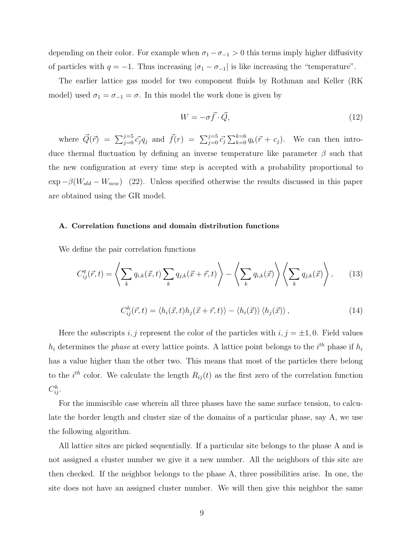depending on their color. For example when  $\sigma_1 - \sigma_{-1} > 0$  this terms imply higher diffusivity of particles with  $q = -1$ . Thus increasing  $|\sigma_1 - \sigma_{-1}|$  is like increasing the "temperature".

The earlier lattice gas model for two component fluids by Rothman and Keller (RK model) used  $\sigma_1 = \sigma_{-1} = \sigma$ . In this model the work done is given by

$$
W = -\sigma \vec{f} \cdot \vec{Q},\tag{12}
$$

where  $\vec{Q}(\vec{r}) = \sum_{j=0}^{j=5} \vec{c_j} q_j$  and  $\vec{f}(r) = \sum_{j=0}^{j=5} \vec{c_j} \sum_{k=0}^{k=6} q_k(\vec{r} + c_j)$ . We can then introduce thermal fluctuation by defining an inverse temperature like parameter  $\beta$  such that the new configuration at every time step is accepted with a probability proportional to  $\exp -\beta (W_{old} - W_{new})$  (22). Unless specified otherwise the results discussed in this paper are obtained using the GR model.

#### A. Correlation functions and domain distribution functions

We define the pair correlation functions

$$
C_{ij}^q(\vec{r},t) = \left\langle \sum_k q_{i,k}(\vec{x},t) \sum_k q_{j,k}(\vec{x} + \vec{r},t) \right\rangle - \left\langle \sum_k q_{i,k}(\vec{x}) \right\rangle \left\langle \sum_k q_{j,k}(\vec{x}) \right\rangle, \tag{13}
$$

$$
C_{ij}^{h}(\vec{r},t) = \langle h_{i}(\vec{x},t)h_{j}(\vec{x}+\vec{r},t)\rangle - \langle h_{i}(\vec{x})\rangle \langle h_{j}(\vec{x})\rangle, \qquad (14)
$$

Here the subscripts i, j represent the color of the particles with  $i, j = \pm 1, 0$ . Field values  $h_i$  determines the *phase* at every lattice points. A lattice point belongs to the  $i^{th}$  phase if  $h_i$ has a value higher than the other two. This means that most of the particles there belong to the  $i<sup>th</sup>$  color. We calculate the length  $R_{ij}(t)$  as the first zero of the correlation function  $C_{ij}^h$ .

For the immiscible case wherein all three phases have the same surface tension, to calculate the border length and cluster size of the domains of a particular phase, say A, we use the following algorithm.

All lattice sites are picked sequentially. If a particular site belongs to the phase A and is not assigned a cluster number we give it a new number. All the neighbors of this site are then checked. If the neighbor belongs to the phase A, three possibilities arise. In one, the site does not have an assigned cluster number. We will then give this neighbor the same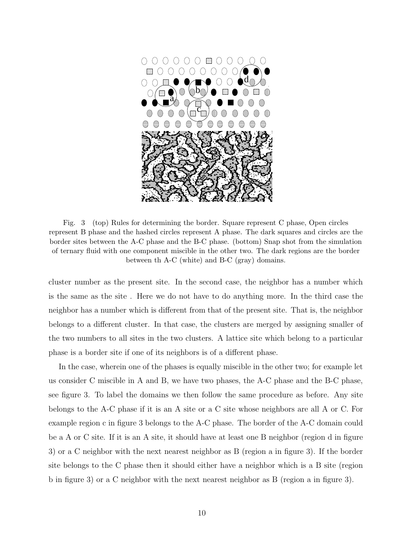

Fig. 3 (top) Rules for determining the border. Square represent C phase, Open circles represent B phase and the hashed circles represent A phase. The dark squares and circles are the border sites between the A-C phase and the B-C phase. (bottom) Snap shot from the simulation of ternary fluid with one component miscible in the other two. The dark regions are the border between th A-C (white) and B-C (gray) domains.

cluster number as the present site. In the second case, the neighbor has a number which is the same as the site . Here we do not have to do anything more. In the third case the neighbor has a number which is different from that of the present site. That is, the neighbor belongs to a different cluster. In that case, the clusters are merged by assigning smaller of the two numbers to all sites in the two clusters. A lattice site which belong to a particular phase is a border site if one of its neighbors is of a different phase.

In the case, wherein one of the phases is equally miscible in the other two; for example let us consider C miscible in A and B, we have two phases, the A-C phase and the B-C phase, see figure 3. To label the domains we then follow the same procedure as before. Any site belongs to the A-C phase if it is an A site or a C site whose neighbors are all A or C. For example region c in figure 3 belongs to the A-C phase. The border of the A-C domain could be a A or C site. If it is an A site, it should have at least one B neighbor (region d in figure 3) or a C neighbor with the next nearest neighbor as B (region a in figure 3). If the border site belongs to the C phase then it should either have a neighbor which is a B site (region b in figure 3) or a C neighbor with the next nearest neighbor as B (region a in figure 3).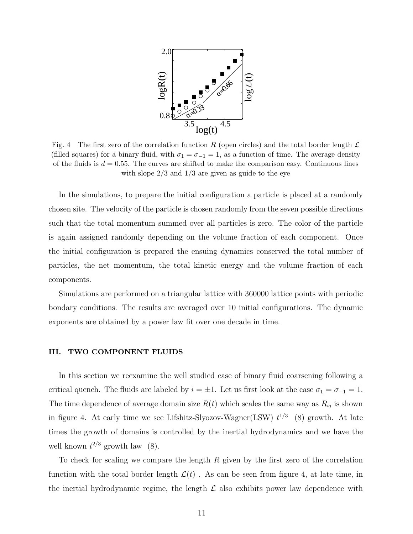

Fig. 4 The first zero of the correlation function R (open circles) and the total border length  $\mathcal L$ (filled squares) for a binary fluid, with  $\sigma_1 = \sigma_{-1} = 1$ , as a function of time. The average density of the fluids is  $d = 0.55$ . The curves are shifted to make the comparison easy. Continuous lines with slope  $2/3$  and  $1/3$  are given as guide to the eye

In the simulations, to prepare the initial configuration a particle is placed at a randomly chosen site. The velocity of the particle is chosen randomly from the seven possible directions such that the total momentum summed over all particles is zero. The color of the particle is again assigned randomly depending on the volume fraction of each component. Once the initial configuration is prepared the ensuing dynamics conserved the total number of particles, the net momentum, the total kinetic energy and the volume fraction of each components.

Simulations are performed on a triangular lattice with 360000 lattice points with periodic bondary conditions. The results are averaged over 10 initial configurations. The dynamic exponents are obtained by a power law fit over one decade in time.

# III. TWO COMPONENT FLUIDS

In this section we reexamine the well studied case of binary fluid coarsening following a critical quench. The fluids are labeled by  $i = \pm 1$ . Let us first look at the case  $\sigma_1 = \sigma_{-1} = 1$ . The time dependence of average domain size  $R(t)$  which scales the same way as  $R_{ij}$  is shown in figure 4. At early time we see Lifshitz-Slyozov-Wagner(LSW)  $t^{1/3}$  (8) growth. At late times the growth of domains is controlled by the inertial hydrodynamics and we have the well known  $t^{2/3}$  growth law (8).

To check for scaling we compare the length R given by the first zero of the correlation function with the total border length  $\mathcal{L}(t)$ . As can be seen from figure 4, at late time, in the inertial hydrodynamic regime, the length  $\mathcal L$  also exhibits power law dependence with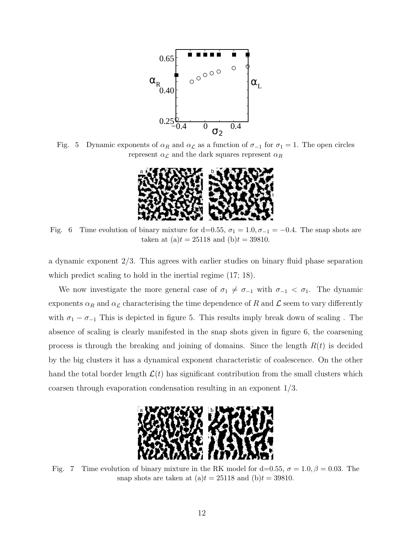

Fig. 5 Dynamic exponents of  $\alpha_R$  and  $\alpha_L$  as a function of  $\sigma_{-1}$  for  $\sigma_1 = 1$ . The open circles represent  $\alpha_{\mathcal{L}}$  and the dark squares represent  $\alpha_R$ 



Fig. 6 Time evolution of binary mixture for d=0.55,  $\sigma_1 = 1.0$ ,  $\sigma_{-1} = -0.4$ . The snap shots are taken at (a)t = 25118 and (b)t = 39810.

a dynamic exponent 2/3. This agrees with earlier studies on binary fluid phase separation which predict scaling to hold in the inertial regime  $(17; 18)$ .

We now investigate the more general case of  $\sigma_1 \neq \sigma_{-1}$  with  $\sigma_{-1} < \sigma_1$ . The dynamic exponents  $\alpha_R$  and  $\alpha_{\mathcal{L}}$  characterising the time dependence of  $R$  and  $\mathcal L$  seem to vary differently with  $\sigma_1 - \sigma_{-1}$  This is depicted in figure 5. This results imply break down of scaling . The absence of scaling is clearly manifested in the snap shots given in figure 6, the coarsening process is through the breaking and joining of domains. Since the length  $R(t)$  is decided by the big clusters it has a dynamical exponent characteristic of coalescence. On the other hand the total border length  $\mathcal{L}(t)$  has significant contribution from the small clusters which coarsen through evaporation condensation resulting in an exponent 1/3.



Fig. 7 Time evolution of binary mixture in the RK model for d=0.55,  $\sigma = 1.0, \beta = 0.03$ . The snap shots are taken at  $(a)t = 25118$  and  $(b)t = 39810$ .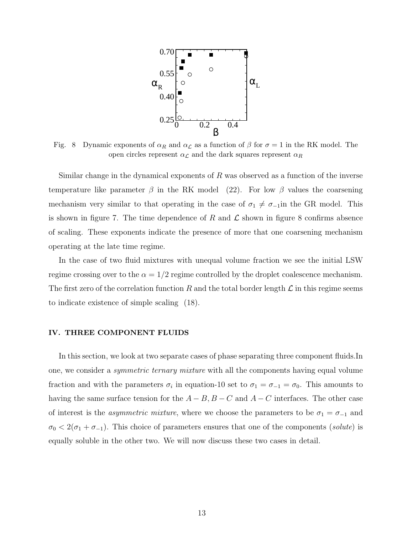

Fig. 8 Dynamic exponents of  $\alpha_R$  and  $\alpha_L$  as a function of  $\beta$  for  $\sigma = 1$  in the RK model. The open circles represent  $\alpha_{\mathcal{L}}$  and the dark squares represent  $\alpha_R$ 

Similar change in the dynamical exponents of  $R$  was observed as a function of the inverse temperature like parameter  $\beta$  in the RK model (22). For low  $\beta$  values the coarsening mechanism very similar to that operating in the case of  $\sigma_1 \neq \sigma_{-1}$ in the GR model. This is shown in figure 7. The time dependence of R and  $\mathcal L$  shown in figure 8 confirms absence of scaling. These exponents indicate the presence of more that one coarsening mechanism operating at the late time regime.

In the case of two fluid mixtures with unequal volume fraction we see the initial LSW regime crossing over to the  $\alpha = 1/2$  regime controlled by the droplet coalescence mechanism. The first zero of the correlation function R and the total border length  $\mathcal L$  in this regime seems to indicate existence of simple scaling (18).

### IV. THREE COMPONENT FLUIDS

In this section, we look at two separate cases of phase separating three component fluids.In one, we consider a symmetric ternary mixture with all the components having equal volume fraction and with the parameters  $\sigma_i$  in equation-10 set to  $\sigma_1 = \sigma_{-1} = \sigma_0$ . This amounts to having the same surface tension for the  $A - B$ ,  $B - C$  and  $A - C$  interfaces. The other case of interest is the *asymmetric mixture*, where we choose the parameters to be  $\sigma_1 = \sigma_{-1}$  and  $\sigma_0 < 2(\sigma_1 + \sigma_{-1})$ . This choice of parameters ensures that one of the components (solute) is equally soluble in the other two. We will now discuss these two cases in detail.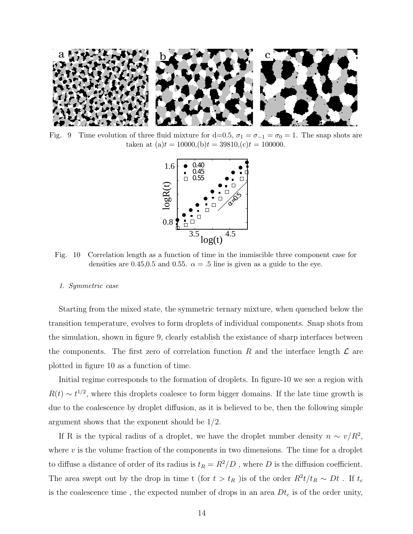

Fig. 9 Time evolution of three fluid mixture for d=0.5,  $\sigma_1 = \sigma_{-1} = \sigma_0 = 1$ . The snap shots are taken at (a)t = 10000,(b)t = 39810,(c)t = 100000.



Fig. 10 Correlation length as a function of time in the immiscible three component case for densities are 0.45,0.5 and 0.55.  $\alpha = .5$  line is given as a guide to the eye.

#### 1. Symmetric case

Starting from the mixed state, the symmetric ternary mixture, when quenched below the transition temperature, evolves to form droplets of individual components. Snap shots from the simulation, shown in figure 9, clearly establish the existance of sharp interfaces between the components. The first zero of correlation function R and the interface length  $\mathcal L$  are plotted in figure 10 as a function of time.

Initial regime corresponds to the formation of droplets. In figure-10 we see a region with  $R(t) \sim t^{1/2}$ , where this droplets coalesce to form bigger domains. If the late time growth is due to the coalescence by droplet diffusion, as it is believed to be, then the following simple argument shows that the exponent should be 1/2.

If R is the typical radius of a droplet, we have the droplet number density  $n \sim v/R^2$ , where  $v$  is the volume fraction of the components in two dimensions. The time for a droplet to diffuse a distance of order of its radius is  $t_R = R^2/D$  , where  $D$  is the diffusion coefficient. The area swept out by the drop in time t (for  $t > t_R$ ) is of the order  $R^2 t/t_R \sim Dt$ . If  $t_c$ is the coalescence time, the expected number of drops in an area  $Dt<sub>c</sub>$  is of the order unity,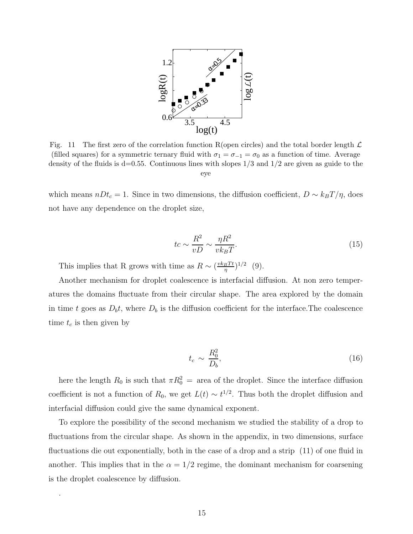

Fig. 11 The first zero of the correlation function R(open circles) and the total border length  $\mathcal L$ (filled squares) for a symmetric ternary fluid with  $\sigma_1 = \sigma_{-1} = \sigma_0$  as a function of time. Average density of the fluids is  $d=0.55$ . Continuous lines with slopes  $1/3$  and  $1/2$  are given as guide to the eye

which means  $nDt_c = 1$ . Since in two dimensions, the diffusion coefficient,  $D \sim k_BT/\eta$ , does not have any dependence on the droplet size,

$$
tc \sim \frac{R^2}{vD} \sim \frac{\eta R^2}{vk_BT}.
$$
\n(15)

This implies that R grows with time as  $R \sim \left(\frac{vk_BTt}{n}\right)$  $\frac{1}{g}T^{t})^{1/2}$  (9).

Another mechanism for droplet coalescence is interfacial diffusion. At non zero temperatures the domains fluctuate from their circular shape. The area explored by the domain in time t goes as  $D_b t$ , where  $D_b$  is the diffusion coefficient for the interface. The coalescence time  $t_c$  is then given by

$$
t_c \sim \frac{R_0^2}{D_b},\tag{16}
$$

here the length  $R_0$  is such that  $\pi R_0^2 =$  area of the droplet. Since the interface diffusion coefficient is not a function of  $R_0$ , we get  $L(t) \sim t^{1/2}$ . Thus both the droplet diffusion and interfacial diffusion could give the same dynamical exponent.

To explore the possibility of the second mechanism we studied the stability of a drop to fluctuations from the circular shape. As shown in the appendix, in two dimensions, surface fluctuations die out exponentially, both in the case of a drop and a strip (11) of one fluid in another. This implies that in the  $\alpha = 1/2$  regime, the dominant mechanism for coarsening is the droplet coalescence by diffusion.

.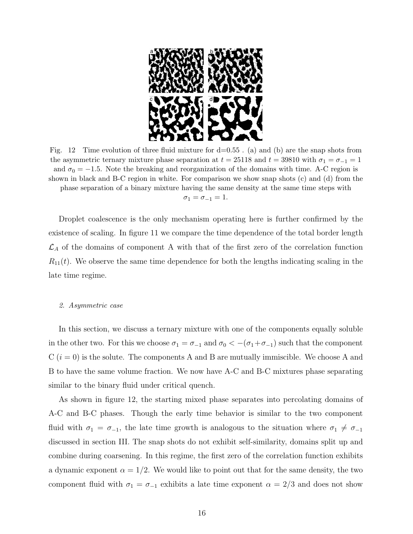

Fig. 12 Time evolution of three fluid mixture for  $d=0.55$ . (a) and (b) are the snap shots from the asymmetric ternary mixture phase separation at  $t = 25118$  and  $t = 39810$  with  $\sigma_1 = \sigma_{-1} = 1$ and  $\sigma_0 = -1.5$ . Note the breaking and reorganization of the domains with time. A-C region is shown in black and B-C region in white. For comparison we show snap shots (c) and (d) from the phase separation of a binary mixture having the same density at the same time steps with  $\sigma_1 = \sigma_{-1} = 1.$ 

Droplet coalescence is the only mechanism operating here is further confirmed by the existence of scaling. In figure 11 we compare the time dependence of the total border length  $\mathcal{L}_A$  of the domains of component A with that of the first zero of the correlation function  $R_{11}(t)$ . We observe the same time dependence for both the lengths indicating scaling in the late time regime.

#### 2. Asymmetric case

In this section, we discuss a ternary mixture with one of the components equally soluble in the other two. For this we choose  $\sigma_1 = \sigma_{-1}$  and  $\sigma_0 < -(\sigma_1 + \sigma_{-1})$  such that the component  $C(i = 0)$  is the solute. The components A and B are mutually immiscible. We choose A and B to have the same volume fraction. We now have A-C and B-C mixtures phase separating similar to the binary fluid under critical quench.

As shown in figure 12, the starting mixed phase separates into percolating domains of A-C and B-C phases. Though the early time behavior is similar to the two component fluid with  $\sigma_1 = \sigma_{-1}$ , the late time growth is analogous to the situation where  $\sigma_1 \neq \sigma_{-1}$ discussed in section III. The snap shots do not exhibit self-similarity, domains split up and combine during coarsening. In this regime, the first zero of the correlation function exhibits a dynamic exponent  $\alpha = 1/2$ . We would like to point out that for the same density, the two component fluid with  $\sigma_1 = \sigma_{-1}$  exhibits a late time exponent  $\alpha = 2/3$  and does not show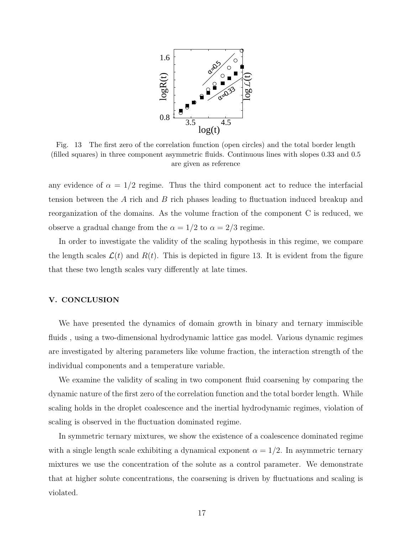

Fig. 13 The first zero of the correlation function (open circles) and the total border length (filled squares) in three component asymmetric fluids. Continuous lines with slopes 0.33 and 0.5 are given as reference

any evidence of  $\alpha = 1/2$  regime. Thus the third component act to reduce the interfacial tension between the A rich and B rich phases leading to fluctuation induced breakup and reorganization of the domains. As the volume fraction of the component C is reduced, we observe a gradual change from the  $\alpha = 1/2$  to  $\alpha = 2/3$  regime.

In order to investigate the validity of the scaling hypothesis in this regime, we compare the length scales  $\mathcal{L}(t)$  and  $R(t)$ . This is depicted in figure 13. It is evident from the figure that these two length scales vary differently at late times.

# V. CONCLUSION

We have presented the dynamics of domain growth in binary and ternary immiscible fluids , using a two-dimensional hydrodynamic lattice gas model. Various dynamic regimes are investigated by altering parameters like volume fraction, the interaction strength of the individual components and a temperature variable.

We examine the validity of scaling in two component fluid coarsening by comparing the dynamic nature of the first zero of the correlation function and the total border length. While scaling holds in the droplet coalescence and the inertial hydrodynamic regimes, violation of scaling is observed in the fluctuation dominated regime.

In symmetric ternary mixtures, we show the existence of a coalescence dominated regime with a single length scale exhibiting a dynamical exponent  $\alpha = 1/2$ . In asymmetric ternary mixtures we use the concentration of the solute as a control parameter. We demonstrate that at higher solute concentrations, the coarsening is driven by fluctuations and scaling is violated.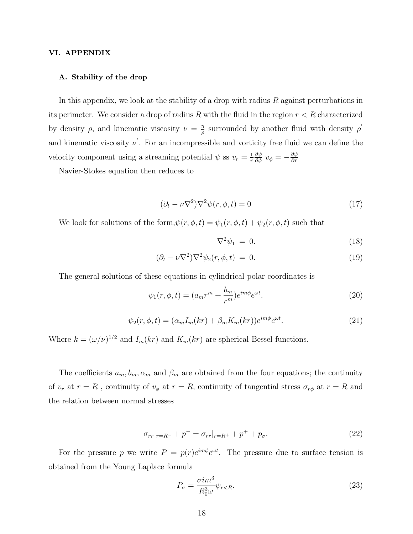# VI. APPENDIX

# A. Stability of the drop

In this appendix, we look at the stability of a drop with radius  $R$  against perturbations in its perimeter. We consider a drop of radius R with the fluid in the region  $r < R$  characterized by density  $\rho$ , and kinematic viscosity  $\nu = \frac{\eta}{\rho}$  $\frac{\eta}{\rho}$  surrounded by another fluid with density  $\rho'$ and kinematic viscosity  $\nu'$ . For an incompressible and vorticity free fluid we can define the velocity component using a streaming potential  $\psi$  ss  $v_r = \frac{1}{r}$ r  $\frac{\partial \psi}{\partial \phi}$   $v_{\phi} = -\frac{\partial \psi}{\partial r}$ ∂r

Navier-Stokes equation then reduces to

$$
(\partial_t - \nu \nabla^2) \nabla^2 \psi(r, \phi, t) = 0 \tag{17}
$$

We look for solutions of the form,  $\psi(r, \phi, t) = \psi_1(r, \phi, t) + \psi_2(r, \phi, t)$  such that

$$
\nabla^2 \psi_1 = 0. \tag{18}
$$

$$
(\partial_t - \nu \nabla^2) \nabla^2 \psi_2(r, \phi, t) = 0. \tag{19}
$$

The general solutions of these equations in cylindrical polar coordinates is

$$
\psi_1(r,\phi,t) = (a_m r^m + \frac{b_m}{r^m})e^{im\phi}e^{\omega t}.
$$
\n(20)

$$
\psi_2(r,\phi,t) = (\alpha_m I_m(kr) + \beta_m K_m(kr))e^{im\phi}e^{\omega t}.
$$
\n(21)

Where  $k = (\omega/\nu)^{1/2}$  and  $I_m(kr)$  and  $K_m(kr)$  are spherical Bessel functions.

The coefficients  $a_m, b_m, \alpha_m$  and  $\beta_m$  are obtained from the four equations; the continuity of  $v_r$  at  $r = R$ , continuity of  $v_\phi$  at  $r = R$ , continuity of tangential stress  $\sigma_{r\phi}$  at  $r = R$  and the relation between normal stresses

$$
\sigma_{rr}|_{r=R^{-}} + p^{-} = \sigma_{rr}|_{r=R^{+}} + p^{+} + p_{\sigma}.
$$
\n(22)

For the pressure p we write  $P = p(r)e^{im\phi}e^{\omega t}$ . The pressure due to surface tension is obtained from the Young Laplace formula

$$
P_{\sigma} = \frac{\sigma i m^3}{R_0^3 \omega} \psi_{r < R}.\tag{23}
$$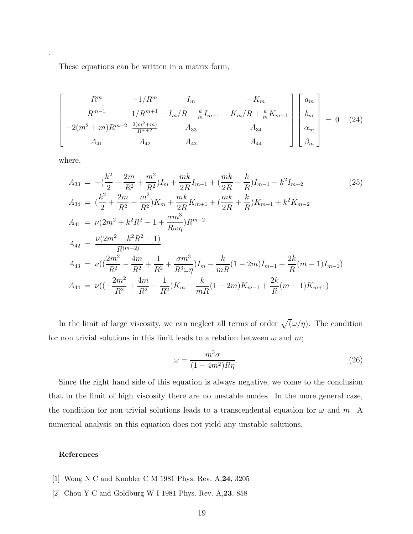These equations can be written in a matrix form,

$$
\begin{bmatrix}\nR^m & -1/R^m & I_m & -K_m \\
R^{m-1} & 1/R^{m+1} & -I_m/R + \frac{k}{m}I_{m-1} & -K_m/R + \frac{k}{m}K_{m-1} \\
-2(m^2 + m)R^{m-2} & \frac{2(m^2 + m)}{R^{m+2}} & A_{33} & A_{34} \\
A_{41} & A_{42} & A_{43} & A_{44}\n\end{bmatrix}\n\begin{bmatrix}\na_m \\
b_m \\
\alpha_m \\
\beta_m\n\end{bmatrix} = 0 \quad (24)
$$

where,

.

$$
A_{33} = -\left(\frac{k^2}{2} + \frac{2m}{R^2} + \frac{m^2}{R^2}\right)I_m + \frac{mk}{2R}I_{m+1} + \left(\frac{mk}{2R} + \frac{k}{R}\right)I_{m-1} - k^2I_{m-2}
$$
\n
$$
A_{34} = \left(\frac{k^2}{2} + \frac{2m}{R^2} + \frac{m^2}{R^2}\right)K_m + \frac{mk}{2R}K_{m+1} + \left(\frac{mk}{2R} + \frac{k}{R}\right)K_{m-1} + k^2K_{m-2}
$$
\n
$$
A_{41} = \nu(2m^2 + k^2R^2 - 1 + \frac{\sigma m^3}{R\omega\eta})R^{m-2}
$$
\n
$$
A_{42} = \frac{\nu(2m^2 + k^2R^2 - 1)}{R^{(m+2)}}
$$
\n
$$
A_{43} = \nu\left(\left(\frac{2m^2}{R^2} - \frac{4m}{R^2} + \frac{1}{R^2} + \frac{\sigma m^3}{R^3\omega\eta}\right)I_m - \frac{k}{mR}(1 - 2m)I_{m-1} + \frac{2k}{R}(m - 1)I_{m-1}\right)
$$
\n
$$
A_{44} = \nu\left(\left(-\frac{2m^2}{R^2} + \frac{4m}{R^2} - \frac{1}{R^2}\right)K_m - \frac{k}{mR}(1 - 2m)K_{m-1} + \frac{2k}{R}(m - 1)K_{m+1}\right)
$$

In the limit of large viscosity, we can neglect all terms of order  $\sqrt{\omega/\eta}$ . The condition for non trivial solutions in this limit leads to a relation between  $\omega$  and  $m$ ;

$$
\omega = \frac{m^3 \sigma}{(1 - 4m^2) R \eta}.\tag{26}
$$

Since the right hand side of this equation is always negative, we come to the conclusion that in the limit of high viscosity there are no unstable modes. In the more general case, the condition for non trivial solutions leads to a transcendental equation for  $\omega$  and m. A numerical analysis on this equation does not yield any unstable solutions.

# References

- [1] Wong N C and Knobler C M 1981 Phys. Rev. A,24, 3205
- [2] Chou Y C and Goldburg W I 1981 Phys. Rev. A,23, 858